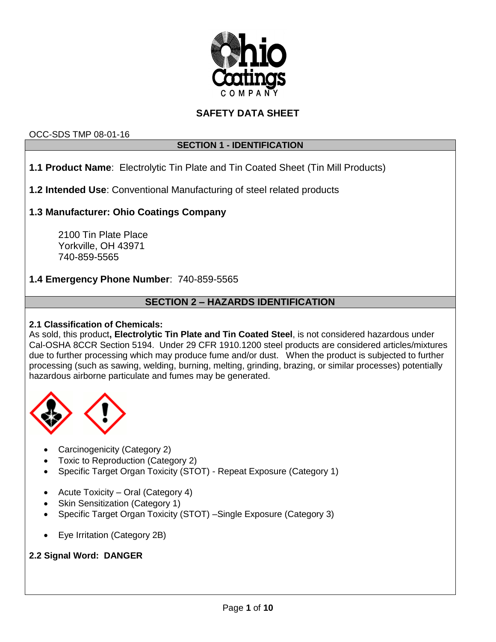

# **SAFETY DATA SHEET**

## OCC-SDS TMP 08-01-16

## **SECTION 1 - IDENTIFICATION**

**1.1 Product Name**: Electrolytic Tin Plate and Tin Coated Sheet (Tin Mill Products)

**1.2 Intended Use**: Conventional Manufacturing of steel related products

## **1.3 Manufacturer: Ohio Coatings Company**

2100 Tin Plate Place Yorkville, OH 43971 740-859-5565

## **1.4 Emergency Phone Number**: 740-859-5565

## **SECTION 2 – HAZARDS IDENTIFICATION**

## **2.1 Classification of Chemicals:**

As sold, this product**, Electrolytic Tin Plate and Tin Coated Steel**, is not considered hazardous under Cal-OSHA 8CCR Section 5194. Under 29 CFR 1910.1200 steel products are considered articles/mixtures due to further processing which may produce fume and/or dust. When the product is subjected to further processing (such as sawing, welding, burning, melting, grinding, brazing, or similar processes) potentially hazardous airborne particulate and fumes may be generated.



- Carcinogenicity (Category 2)
- Toxic to Reproduction (Category 2)
- Specific Target Organ Toxicity (STOT) Repeat Exposure (Category 1)
- Acute Toxicity Oral (Category 4)
- Skin Sensitization (Category 1)
- Specific Target Organ Toxicity (STOT) –Single Exposure (Category 3)
- Eye Irritation (Category 2B)

## **2.2 Signal Word: DANGER**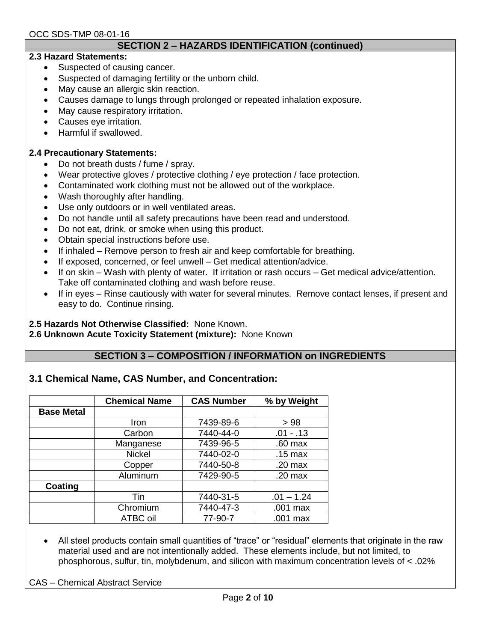## **SECTION 2 – HAZARDS IDENTIFICATION (continued)**

#### **2.3 Hazard Statements:**

- Suspected of causing cancer.
- Suspected of damaging fertility or the unborn child.
- May cause an allergic skin reaction.
- Causes damage to lungs through prolonged or repeated inhalation exposure.
- May cause respiratory irritation.
- Causes eye irritation.
- Harmful if swallowed.

#### **2.4 Precautionary Statements:**

- Do not breath dusts / fume / spray.
- Wear protective gloves / protective clothing / eye protection / face protection.
- Contaminated work clothing must not be allowed out of the workplace.
- Wash thoroughly after handling.
- Use only outdoors or in well ventilated areas.
- Do not handle until all safety precautions have been read and understood.
- Do not eat, drink, or smoke when using this product.
- Obtain special instructions before use.
- If inhaled Remove person to fresh air and keep comfortable for breathing.
- If exposed, concerned, or feel unwell Get medical attention/advice.
- If on skin Wash with plenty of water. If irritation or rash occurs Get medical advice/attention. Take off contaminated clothing and wash before reuse.
- If in eyes Rinse cautiously with water for several minutes. Remove contact lenses, if present and easy to do. Continue rinsing.

#### **2.5 Hazards Not Otherwise Classified:** None Known.

**2.6 Unknown Acute Toxicity Statement (mixture):** None Known

## **SECTION 3 – COMPOSITION / INFORMATION on INGREDIENTS**

## **3.1 Chemical Name, CAS Number, and Concentration:**

|                   | <b>Chemical Name</b> | <b>CAS Number</b> | % by Weight       |
|-------------------|----------------------|-------------------|-------------------|
| <b>Base Metal</b> |                      |                   |                   |
|                   | Iron                 | 7439-89-6         | > 98              |
|                   | Carbon               | 7440-44-0         | $.01 - .13$       |
|                   | Manganese            | 7439-96-5         | $.60$ max         |
|                   | <b>Nickel</b>        | 7440-02-0         | $.15 \text{ max}$ |
|                   | Copper               | 7440-50-8         | $.20$ max         |
|                   | Aluminum             | 7429-90-5         | $.20$ max         |
| Coating           |                      |                   |                   |
|                   | Tin                  | 7440-31-5         | $.01 - 1.24$      |
|                   | Chromium             | 7440-47-3         | .001 max          |
|                   | ATBC oil             | 77-90-7           | .001 max          |

 All steel products contain small quantities of "trace" or "residual" elements that originate in the raw material used and are not intentionally added. These elements include, but not limited, to phosphorous, sulfur, tin, molybdenum, and silicon with maximum concentration levels of < .02%

CAS – Chemical Abstract Service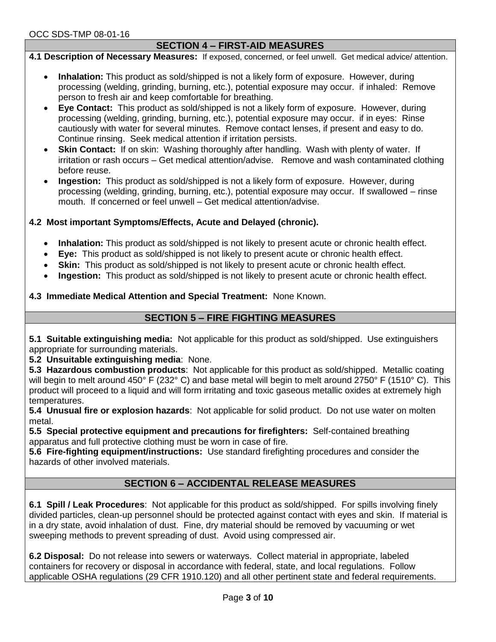## **SECTION 4 – FIRST-AID MEASURES**

**4.1 Description of Necessary Measures:** If exposed, concerned, or feel unwell. Get medical advice/ attention.

- **Inhalation:** This product as sold/shipped is not a likely form of exposure. However, during processing (welding, grinding, burning, etc.), potential exposure may occur. if inhaled: Remove person to fresh air and keep comfortable for breathing.
- **Eye Contact:** This product as sold/shipped is not a likely form of exposure. However, during processing (welding, grinding, burning, etc.), potential exposure may occur. if in eyes: Rinse cautiously with water for several minutes. Remove contact lenses, if present and easy to do. Continue rinsing. Seek medical attention if irritation persists.
- **Skin Contact:** If on skin: Washing thoroughly after handling. Wash with plenty of water. If irritation or rash occurs – Get medical attention/advise. Remove and wash contaminated clothing before reuse.
- **Ingestion:** This product as sold/shipped is not a likely form of exposure. However, during processing (welding, grinding, burning, etc.), potential exposure may occur. If swallowed – rinse mouth. If concerned or feel unwell – Get medical attention/advise.

## **4.2 Most important Symptoms/Effects, Acute and Delayed (chronic).**

- **Inhalation:** This product as sold/shipped is not likely to present acute or chronic health effect.
- **Eye:** This product as sold/shipped is not likely to present acute or chronic health effect.
- **Skin:** This product as sold/shipped is not likely to present acute or chronic health effect.
- **Ingestion:** This product as sold/shipped is not likely to present acute or chronic health effect.

## **4.3 Immediate Medical Attention and Special Treatment:** None Known.

## **SECTION 5 – FIRE FIGHTING MEASURES**

**5.1 Suitable extinguishing media:** Not applicable for this product as sold/shipped. Use extinguishers appropriate for surrounding materials.

**5.2 Unsuitable extinguishing media**: None.

**5.3 Hazardous combustion products**: Not applicable for this product as sold/shipped. Metallic coating will begin to melt around 450° F (232° C) and base metal will begin to melt around 2750° F (1510° C). This product will proceed to a liquid and will form irritating and toxic gaseous metallic oxides at extremely high temperatures.

**5.4 Unusual fire or explosion hazards**: Not applicable for solid product. Do not use water on molten metal.

**5.5 Special protective equipment and precautions for firefighters:** Self-contained breathing apparatus and full protective clothing must be worn in case of fire.

**5.6 Fire-fighting equipment/instructions:** Use standard firefighting procedures and consider the hazards of other involved materials.

## **SECTION 6 – ACCIDENTAL RELEASE MEASURES**

**6.1 Spill / Leak Procedures**: Not applicable for this product as sold/shipped. For spills involving finely divided particles, clean-up personnel should be protected against contact with eyes and skin. If material is in a dry state, avoid inhalation of dust. Fine, dry material should be removed by vacuuming or wet sweeping methods to prevent spreading of dust. Avoid using compressed air.

**6.2 Disposal:** Do not release into sewers or waterways. Collect material in appropriate, labeled containers for recovery or disposal in accordance with federal, state, and local regulations. Follow applicable OSHA regulations (29 CFR 1910.120) and all other pertinent state and federal requirements.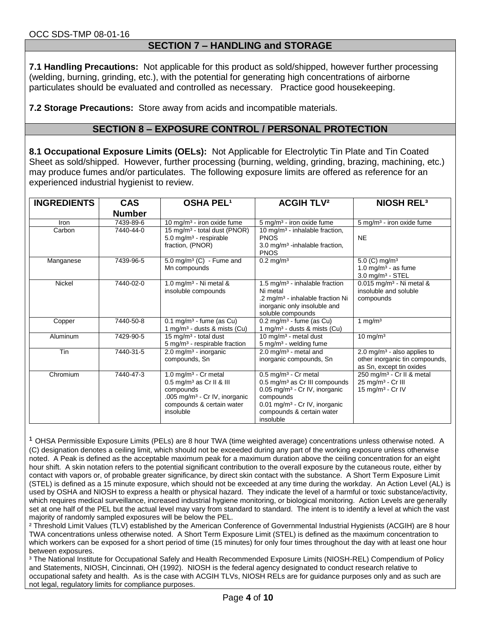## **SECTION 7 – HANDLING and STORAGE**

**7.1 Handling Precautions:** Not applicable for this product as sold/shipped, however further processing (welding, burning, grinding, etc.), with the potential for generating high concentrations of airborne particulates should be evaluated and controlled as necessary. Practice good housekeeping.

**7.2 Storage Precautions:** Store away from acids and incompatible materials.

## **SECTION 8 – EXPOSURE CONTROL / PERSONAL PROTECTION**

**8.1 Occupational Exposure Limits (OELs):** Not Applicable for Electrolytic Tin Plate and Tin Coated Sheet as sold/shipped. However, further processing (burning, welding, grinding, brazing, machining, etc.) may produce fumes and/or particulates. The following exposure limits are offered as reference for an experienced industrial hygienist to review.

| <b>INGREDIENTS</b> | <b>CAS</b><br><b>Number</b> | <b>OSHA PEL1</b>                                                                                                                                                             | <b>ACGIH TLV<sup>2</sup></b>                                                                                                                                                                                                     | <b>NIOSH REL<sup>3</sup></b>                                                                                |
|--------------------|-----------------------------|------------------------------------------------------------------------------------------------------------------------------------------------------------------------------|----------------------------------------------------------------------------------------------------------------------------------------------------------------------------------------------------------------------------------|-------------------------------------------------------------------------------------------------------------|
| Iron               | 7439-89-6                   | 10 mg/m <sup>3</sup> - iron oxide fume                                                                                                                                       | 5 mg/m <sup>3</sup> - iron oxide fume                                                                                                                                                                                            | 5 mg/m <sup>3</sup> - iron oxide fume                                                                       |
| Carbon             | 7440-44-0                   | 15 mg/m <sup>3</sup> - total dust (PNOR)<br>$5.0$ mg/m <sup>3</sup> - respirable<br>fraction, (PNOR)                                                                         | 10 mg/m <sup>3</sup> - inhalable fraction,<br><b>PNOS</b><br>3.0 mg/m <sup>3</sup> -inhalable fraction,<br><b>PNOS</b>                                                                                                           | <b>NF</b>                                                                                                   |
| Manganese          | 7439-96-5                   | $5.0 \text{ mg/m}^3$ (C) - Fume and<br>Mn compounds                                                                                                                          | $0.2$ mg/m <sup>3</sup>                                                                                                                                                                                                          | $\overline{5.0}$ (C) mg/m <sup>3</sup><br>1.0 mg/m <sup>3</sup> - as fume<br>$3.0$ mg/m <sup>3</sup> - STEL |
| Nickel             | 7440-02-0                   | 1.0 mg/m <sup>3</sup> - Ni metal $\&$<br>insoluble compounds                                                                                                                 | 1.5 mg/m <sup>3</sup> - inhalable fraction<br>Ni metal<br>.2 mg/m <sup>3</sup> - inhalable fraction Ni<br>inorganic only insoluble and<br>soluble compounds                                                                      | $0.015$ mg/m <sup>3</sup> - Ni metal &<br>insoluble and soluble<br>compounds                                |
| Copper             | 7440-50-8                   | $0.1$ mg/m <sup>3</sup> - fume (as Cu)<br>1 mg/m <sup>3</sup> - dusts & mists (Cu)                                                                                           | $0.2 \text{ mg/m}^3$ - fume (as Cu)<br>1 mg/m <sup>3</sup> - dusts & mists (Cu)                                                                                                                                                  | 1 mg/ $m3$                                                                                                  |
| Aluminum           | 7429-90-5                   | 15 mg/m <sup>3</sup> - total dust<br>$5 \text{ mg/m}^3$ - respirable fraction                                                                                                | 10 mg/m <sup>3</sup> - metal dust<br>5 mg/m <sup>3</sup> - welding fume                                                                                                                                                          | $10 \text{ mg/m}^3$                                                                                         |
| Tin                | 7440-31-5                   | $2.0 \,\mathrm{mg/m^3}$ - inorganic<br>compounds, Sn                                                                                                                         | 2.0 mg/m <sup>3</sup> - metal and<br>inorganic compounds, Sn                                                                                                                                                                     | 2.0 mg/m <sup>3</sup> - also applies to<br>other inorganic tin compounds,<br>as Sn, except tin oxides       |
| Chromium           | 7440-47-3                   | 1.0 mg/m <sup>3</sup> - Cr metal<br>0.5 mg/m <sup>3</sup> as Cr II & III<br>compounds<br>.005 mg/m <sup>3</sup> - Cr IV, inorganic<br>compounds & certain water<br>insoluble | $0.5$ mg/m <sup>3</sup> - Cr metal<br>0.5 mg/m <sup>3</sup> as Cr III compounds<br>0.05 mg/m <sup>3</sup> - Cr IV, inorganic<br>compounds<br>0.01 mg/m <sup>3</sup> - Cr IV, inorganic<br>compounds & certain water<br>insoluble | 250 mg/m <sup>3</sup> - Cr II & metal<br>25 mg/m <sup>3</sup> - Cr III<br>15 mg/m <sup>3</sup> - Cr IV      |

 $1$  OHSA Permissible Exposure Limits (PELs) are 8 hour TWA (time weighted average) concentrations unless otherwise noted. A (C) designation denotes a ceiling limit, which should not be exceeded during any part of the working exposure unless otherwise noted. A Peak is defined as the acceptable maximum peak for a maximum duration above the ceiling concentration for an eight hour shift. A skin notation refers to the potential significant contribution to the overall exposure by the cutaneous route, either by contact with vapors or, of probable greater significance, by direct skin contact with the substance. A Short Term Exposure Limit (STEL) is defined as a 15 minute exposure, which should not be exceeded at any time during the workday. An Action Level (AL) is used by OSHA and NIOSH to express a health or physical hazard. They indicate the level of a harmful or toxic substance/activity, which requires medical surveillance, increased industrial hygiene monitoring, or biological monitoring. Action Levels are generally set at one half of the PEL but the actual level may vary from standard to standard. The intent is to identify a level at which the vast majority of randomly sampled exposures will be below the PEL.

² Threshold Limit Values (TLV) established by the American Conference of Governmental Industrial Hygienists (ACGIH) are 8 hour TWA concentrations unless otherwise noted. A Short Term Exposure Limit (STEL) is defined as the maximum concentration to which workers can be exposed for a short period of time (15 minutes) for only four times throughout the day with at least one hour between exposures.

³ The National Institute for Occupational Safely and Health Recommended Exposure Limits (NIOSH-REL) Compendium of Policy and Statements, NIOSH, Cincinnati, OH (1992). NIOSH is the federal agency designated to conduct research relative to occupational safety and health. As is the case with ACGIH TLVs, NIOSH RELs are for guidance purposes only and as such are not legal, regulatory limits for compliance purposes.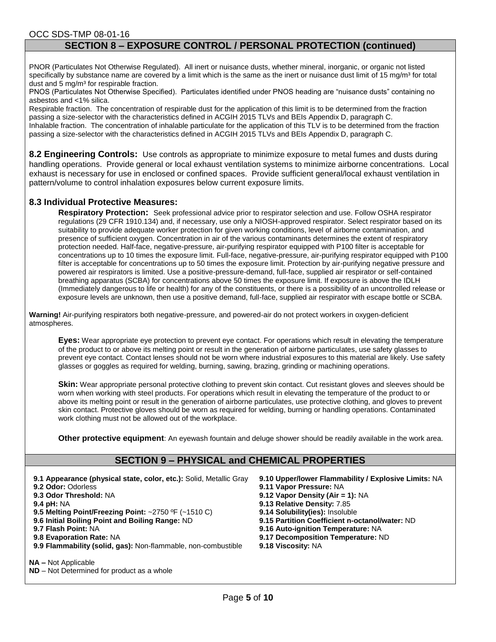#### OCC SDS-TMP 08-01-16 **SECTION 8 – EXPOSURE CONTROL / PERSONAL PROTECTION (continued)**

PNOR (Particulates Not Otherwise Regulated). All inert or nuisance dusts, whether mineral, inorganic, or organic not listed specifically by substance name are covered by a limit which is the same as the inert or nuisance dust limit of 15 mg/m<sup>3</sup> for total dust and 5 mg/m<sup>3</sup> for respirable fraction.

PNOS (Particulates Not Otherwise Specified). Particulates identified under PNOS heading are "nuisance dusts" containing no asbestos and <1% silica.

Respirable fraction. The concentration of respirable dust for the application of this limit is to be determined from the fraction passing a size-selector with the characteristics defined in ACGIH 2015 TLVs and BEIs Appendix D, paragraph C. Inhalable fraction. The concentration of inhalable particulate for the application of this TLV is to be determined from the fraction passing a size-selector with the characteristics defined in ACGIH 2015 TLVs and BEIs Appendix D, paragraph C.

**8.2 Engineering Controls:** Use controls as appropriate to minimize exposure to metal fumes and dusts during handling operations. Provide general or local exhaust ventilation systems to minimize airborne concentrations. Local exhaust is necessary for use in enclosed or confined spaces. Provide sufficient general/local exhaust ventilation in pattern/volume to control inhalation exposures below current exposure limits.

#### **8.3 Individual Protective Measures:**

**Respiratory Protection:** Seek professional advice prior to respirator selection and use. Follow OSHA respirator regulations (29 CFR 1910.134) and, if necessary, use only a NIOSH-approved respirator. Select respirator based on its suitability to provide adequate worker protection for given working conditions, level of airborne contamination, and presence of sufficient oxygen. Concentration in air of the various contaminants determines the extent of respiratory protection needed. Half-face, negative-pressure, air-purifying respirator equipped with P100 filter is acceptable for concentrations up to 10 times the exposure limit. Full-face, negative-pressure, air-purifying respirator equipped with P100 filter is acceptable for concentrations up to 50 times the exposure limit. Protection by air-purifying negative pressure and powered air respirators is limited. Use a positive-pressure-demand, full-face, supplied air respirator or self-contained breathing apparatus (SCBA) for concentrations above 50 times the exposure limit. If exposure is above the IDLH (Immediately dangerous to life or health) for any of the constituents, or there is a possibility of an uncontrolled release or exposure levels are unknown, then use a positive demand, full-face, supplied air respirator with escape bottle or SCBA.

**Warning!** Air-purifying respirators both negative-pressure, and powered-air do not protect workers in oxygen-deficient atmospheres.

**Eyes:** Wear appropriate eye protection to prevent eye contact. For operations which result in elevating the temperature of the product to or above its melting point or result in the generation of airborne particulates, use safety glasses to prevent eye contact. Contact lenses should not be worn where industrial exposures to this material are likely. Use safety glasses or goggles as required for welding, burning, sawing, brazing, grinding or machining operations.

**Skin:** Wear appropriate personal protective clothing to prevent skin contact. Cut resistant gloves and sleeves should be worn when working with steel products. For operations which result in elevating the temperature of the product to or above its melting point or result in the generation of airborne particulates, use protective clothing, and gloves to prevent skin contact. Protective gloves should be worn as required for welding, burning or handling operations. Contaminated work clothing must not be allowed out of the workplace.

**Other protective equipment**: An eyewash fountain and deluge shower should be readily available in the work area.

## **SECTION 9 – PHYSICAL and CHEMICAL PROPERTIES**

- **9.1 Appearance (physical state, color, etc.):** Solid, Metallic Gray **9.10 Upper/lower Flammability / Explosive Limits:** NA **9.2 Odor:** Odorless **9.11 Vapor Pressure:** NA **9.3 Odor Threshold:** NA **9.12 Vapor Density (Air = 1):** NA **9.5 Melting Point/Freezing Point: ~2750 °F (~1510 C) 9.6 Initial Boiling Point and Boiling Range:** ND **9.15 Partition Coefficient n-octanol/water:** ND **9.7 Flash Point:** NA **9.16 Auto-ignition Temperature:** NA
- 
- **9.9 Flammability (solid, gas):** Non-flammable, non-combustible **9.18 Viscosity:** NA
- 
- 
- 
- **9.13 Relative Density: 7.85<br><b>9.14 Solubility(ies):** Insoluble
- 
- 
- **9.8 Evaporation Rate:** NA **9.17 Decomposition Temperature:** ND
	-

**NA –** Not Applicable

**ND** – Not Determined for product as a whole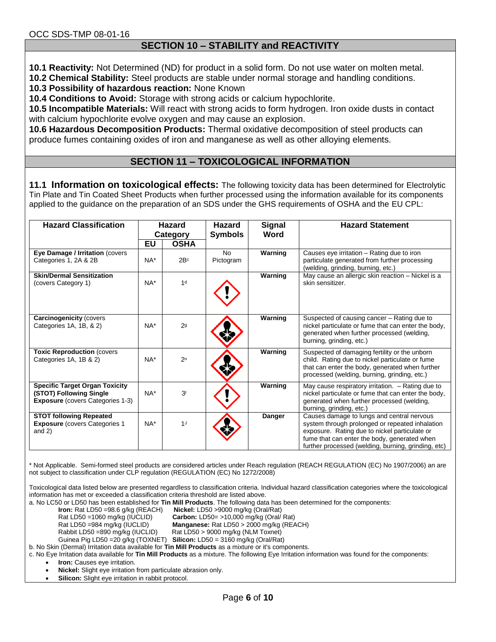### **SECTION 10 – STABILITY and REACTIVITY**

**10.1 Reactivity:** Not Determined (ND) for product in a solid form. Do not use water on molten metal.

**10.2 Chemical Stability:** Steel products are stable under normal storage and handling conditions.

**10.3 Possibility of hazardous reaction:** None Known

**10.4 Conditions to Avoid:** Storage with strong acids or calcium hypochlorite.

**10.5 Incompatible Materials:** Will react with strong acids to form hydrogen. Iron oxide dusts in contact with calcium hypochlorite evolve oxygen and may cause an explosion.

**10.6 Hazardous Decomposition Products:** Thermal oxidative decomposition of steel products can produce fumes containing oxides of iron and manganese as well as other alloying elements.

## **SECTION 11 – TOXICOLOGICAL INFORMATION**

**11.1 Information on toxicological effects:** The following toxicity data has been determined for Electrolytic Tin Plate and Tin Coated Sheet Products when further processed using the information available for its components applied to the guidance on the preparation of an SDS under the GHS requirements of OSHA and the EU CPL:

| <b>Hazard Classification</b>                                                                                | <b>Hazard</b><br>Category |                 | <b>Signal</b><br><b>Hazard</b><br>Word<br><b>Symbols</b> |         | <b>Hazard Statement</b>                                                                                                                                                                                                                               |
|-------------------------------------------------------------------------------------------------------------|---------------------------|-----------------|----------------------------------------------------------|---------|-------------------------------------------------------------------------------------------------------------------------------------------------------------------------------------------------------------------------------------------------------|
|                                                                                                             | <b>EU</b>                 | <b>OSHA</b>     |                                                          |         |                                                                                                                                                                                                                                                       |
| Eye Damage / Irritation (covers<br>Categories 1, 2A & 2B                                                    | NA*                       | 2B <sup>c</sup> | <b>No</b><br>Pictogram                                   | Warning | Causes eye irritation – Rating due to iron<br>particulate generated from further processing<br>(welding, grinding, burning, etc.)                                                                                                                     |
| <b>Skin/Dermal Sensitization</b><br>(covers Category 1)                                                     | $NA^*$                    | 1 <sup>d</sup>  |                                                          | Warning | May cause an allergic skin reaction - Nickel is a<br>skin sensitizer.                                                                                                                                                                                 |
| <b>Carcinogenicity (covers</b><br>Categories 1A, 1B, & 2)                                                   | NA*                       | 2 <sub>g</sub>  |                                                          | Warning | Suspected of causing cancer – Rating due to<br>nickel particulate or fume that can enter the body,<br>generated when further processed (welding,<br>burning, grinding, etc.)                                                                          |
| <b>Toxic Reproduction (covers)</b><br>Categories 1A, 1B & 2)                                                | NA*                       | 2 <sup>H</sup>  |                                                          | Warning | Suspected of damaging fertility or the unborn<br>child. Rating due to nickel particulate or fume<br>that can enter the body, generated when further<br>processed (welding, burning, grinding, etc.)                                                   |
| <b>Specific Target Organ Toxicity</b><br>(STOT) Following Single<br><b>Exposure</b> (covers Categories 1-3) | $NA*$                     | 3 <sup>1</sup>  |                                                          | Warning | May cause respiratory irritation. - Rating due to<br>nickel particulate or fume that can enter the body,<br>generated when further processed (welding,<br>burning, grinding, etc.)                                                                    |
| <b>STOT following Repeated</b><br><b>Exposure</b> (covers Categories 1)<br>and $2)$                         | $NA*$                     | 1 <sup>J</sup>  |                                                          | Danger  | Causes damage to lungs and central nervous<br>system through prolonged or repeated inhalation<br>exposure. Rating due to nickel particulate or<br>fume that can enter the body, generated when<br>further processed (welding, burning, grinding, etc) |

\* Not Applicable. Semi-formed steel products are considered articles under Reach regulation (REACH REGULATION (EC) No 1907/2006) an are not subject to classification under CLP regulation (REGULATION (EC) No 1272/2008)

Toxicological data listed below are presented regardless to classification criteria. Individual hazard classification categories where the toxicological information has met or exceeded a classification criteria threshold are listed above.

a. No LC50 or LD50 has been established for **Tin Mill Products**. The following data has been determined for the components:

**Nickel:** LD50 >9000 mg/kg (Oral/Rat)

Rat LD50 =1060 mg/kg (IUCLID) **Carbon:** LD50= >10,000 mg/kg (Oral/ Rat)

Rat LD50 =984 mg/kg (IUCLID) **Manganese:** Rat LD50 > 2000 mg/kg (REACH)

Rabbit LD50 =890 mg/kg (IUCLID) Rat LD50 > 9000 mg/kg (NLM Toxnet)

Guinea Pig LD50 =20 g/kg (TOXNET) **Silicon:** LD50 = 3160 mg/kg (Oral/Rat)

b. No Skin (Dermal) Irritation data available for **Tin Mill Products** as a mixture or it's components.

c. No Eye Irritation data available for **Tin Mill Products** as a mixture. The following Eye Irritation information was found for the components:

**Iron:** Causes eye irritation.

**Nickel:** Slight eye irritation from particulate abrasion only.

**Silicon:** Slight eye irritation in rabbit protocol.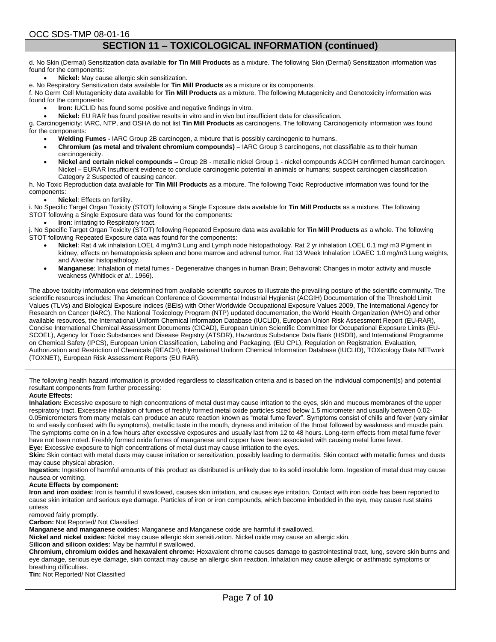OCC SDS-TMP 08-01-16

## **SECTION 11 – TOXICOLOGICAL INFORMATION (continued)**

d. No Skin (Dermal) Sensitization data available **for Tin Mill Products** as a mixture. The following Skin (Dermal) Sensitization information was found for the components:

**Nickel:** May cause allergic skin sensitization.

e. No Respiratory Sensitization data available for **Tin Mill Products** as a mixture or its components.

f. No Germ Cell Mutagenicity data available for **Tin Mill Products** as a mixture. The following Mutagenicity and Genotoxicity information was found for the components:

- **Iron:** IUCLID has found some positive and negative findings in vitro.
- **Nickel:** EU RAR has found positive results in vitro and in vivo but insufficient data for classification.

g. Carcinogenicity: IARC, NTP, and OSHA do not list **Tin Mill Products** as carcinogens. The following Carcinogenicity information was found for the components:

- **Welding Fumes -** IARC Group 2B carcinogen, a mixture that is possibly carcinogenic to humans.
- **Chromium (as metal and trivalent chromium compounds)**  IARC Group 3 carcinogens, not classifiable as to their human carcinogenicity.
- **Nickel and certain nickel compounds –** Group 2B metallic nickel Group 1 nickel compounds ACGIH confirmed human carcinogen. Nickel – EURAR Insufficient evidence to conclude carcinogenic potential in animals or humans; suspect carcinogen classification Category 2 Suspected of causing cancer.

h. No Toxic Reproduction data available for **Tin Mill Products** as a mixture. The following Toxic Reproductive information was found for the components:

**Nickel**: Effects on fertility.

i. No Specific Target Organ Toxicity (STOT) following a Single Exposure data available for **Tin Mill Products** as a mixture. The following STOT following a Single Exposure data was found for the components:

**Iron:** Irritating to Respiratory tract.

j. No Specific Target Organ Toxicity (STOT) following Repeated Exposure data was available for **Tin Mill Products** as a whole. The following STOT following Repeated Exposure data was found for the components:

- **Nickel**: Rat 4 wk inhalation LOEL 4 mg/m3 Lung and Lymph node histopathology. Rat 2 yr inhalation LOEL 0.1 mg/ m3 Pigment in kidney, effects on hematopoiesis spleen and bone marrow and adrenal tumor. Rat 13 Week Inhalation LOAEC 1.0 mg/m3 Lung weights, and Alveolar histopathology.
- **Manganese**: Inhalation of metal fumes Degenerative changes in human Brain; Behavioral: Changes in motor activity and muscle weakness (Whitlock *et al.,* 1966).

The above toxicity information was determined from available scientific sources to illustrate the prevailing posture of the scientific community. The scientific resources includes: The American Conference of Governmental Industrial Hygienist (ACGIH) Documentation of the Threshold Limit Values (TLVs) and Biological Exposure indices (BEIs) with Other Worldwide Occupational Exposure Values 2009, The International Agency for Research on Cancer (IARC), The National Toxicology Program (NTP) updated documentation, the World Health Organization (WHO) and other available resources, the International Uniform Chemical Information Database (IUCLID), European Union Risk Assessment Report (EU-RAR), Concise International Chemical Assessment Documents (CICAD), European Union Scientific Committee for Occupational Exposure Limits (EU-SCOEL), Agency for Toxic Substances and Disease Registry (ATSDR), Hazardous Substance Data Bank (HSDB), and International Programme on Chemical Safety (IPCS), European Union Classification, Labeling and Packaging. (EU CPL), Regulation on Registration, Evaluation, Authorization and Restriction of Chemicals (REACH), International Uniform Chemical Information Database (IUCLID), TOXicology Data NETwork (TOXNET), European Risk Assessment Reports (EU RAR).

The following health hazard information is provided regardless to classification criteria and is based on the individual component(s) and potential resultant components from further processing:

#### **Acute Effects:**

**Inhalation:** Excessive exposure to high concentrations of metal dust may cause irritation to the eyes, skin and mucous membranes of the upper respiratory tract. Excessive inhalation of fumes of freshly formed metal oxide particles sized below 1.5 micrometer and usually between 0.02- 0.05micrometers from many metals can produce an acute reaction known as "metal fume fever". Symptoms consist of chills and fever (very similar to and easily confused with flu symptoms), metallic taste in the mouth, dryness and irritation of the throat followed by weakness and muscle pain. The symptoms come on in a few hours after excessive exposures and usually last from 12 to 48 hours. Long-term effects from metal fume fever have not been noted. Freshly formed oxide fumes of manganese and copper have been associated with causing metal fume fever.

**Eye:** Excessive exposure to high concentrations of metal dust may cause irritation to the eyes.

**Skin:** Skin contact with metal dusts may cause irritation or sensitization, possibly leading to dermatitis. Skin contact with metallic fumes and dusts may cause physical abrasion.

**Ingestion:** Ingestion of harmful amounts of this product as distributed is unlikely due to its solid insoluble form. Ingestion of metal dust may cause nausea or vomiting.

#### **Acute Effects by component:**

**Iron and iron oxides:** Iron is harmful if swallowed, causes skin irritation, and causes eye irritation. Contact with iron oxide has been reported to cause skin irritation and serious eye damage. Particles of iron or iron compounds, which become imbedded in the eye, may cause rust stains unless

removed fairly promptly.

**Carbon:** Not Reported/ Not Classified

**Manganese and manganese oxides:** Manganese and Manganese oxide are harmful if swallowed.

**Nickel and nickel oxides:** Nickel may cause allergic skin sensitization. Nickel oxide may cause an allergic skin.

S**ilicon and silicon oxides:** May be harmful if swallowed.

**Chromium, chromium oxides and hexavalent chrome:** Hexavalent chrome causes damage to gastrointestinal tract, lung, severe skin burns and eye damage, serious eye damage, skin contact may cause an allergic skin reaction. Inhalation may cause allergic or asthmatic symptoms or breathing difficulties.

**Tin:** Not Reported/ Not Classified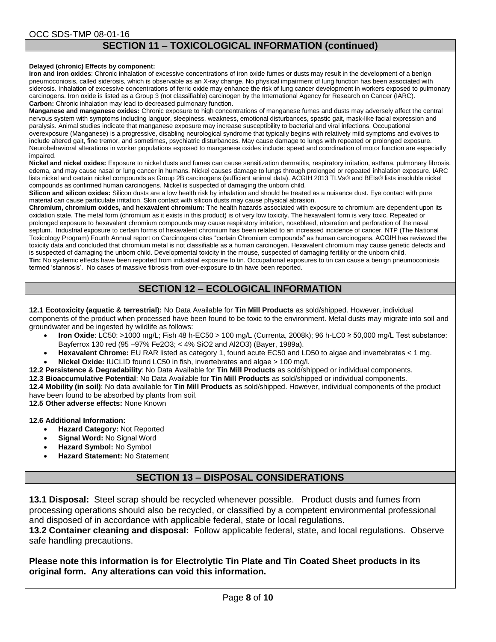#### OCC SDS-TMP 08-01-16 **SECTION 11 – TOXICOLOGICAL INFORMATION (continued)**

#### **Delayed (chronic) Effects by component:**

**Iron and iron oxides**: Chronic inhalation of excessive concentrations of iron oxide fumes or dusts may result in the development of a benign pneumoconiosis, called siderosis, which is observable as an X-ray change. No physical impairment of lung function has been associated with siderosis. Inhalation of excessive concentrations of ferric oxide may enhance the risk of lung cancer development in workers exposed to pulmonary carcinogens. Iron oxide is listed as a Group 3 (not classifiable) carcinogen by the International Agency for Research on Cancer (IARC). **Carbon:** Chronic inhalation may lead to decreased pulmonary function.

**Manganese and manganese oxides:** Chronic exposure to high concentrations of manganese fumes and dusts may adversely affect the central nervous system with symptoms including languor, sleepiness, weakness, emotional disturbances, spastic gait, mask-like facial expression and paralysis. Animal studies indicate that manganese exposure may increase susceptibility to bacterial and viral infections. Occupational overexposure (Manganese) is a progressive, disabling neurological syndrome that typically begins with relatively mild symptoms and evolves to include altered gait, fine tremor, and sometimes, psychiatric disturbances. May cause damage to lungs with repeated or prolonged exposure. Neurobehavioral alterations in worker populations exposed to manganese oxides include: speed and coordination of motor function are especially impaired.

**Nickel and nickel oxides:** Exposure to nickel dusts and fumes can cause sensitization dermatitis, respiratory irritation, asthma, pulmonary fibrosis, edema, and may cause nasal or lung cancer in humans. Nickel causes damage to lungs through prolonged or repeated inhalation exposure. IARC lists nickel and certain nickel compounds as Group 2B carcinogens (sufficient animal data). ACGIH 2013 TLVs® and BEIs® lists insoluble nickel compounds as confirmed human carcinogens. Nickel is suspected of damaging the unborn child.

**Silicon and silicon oxides:** Silicon dusts are a low health risk by inhalation and should be treated as a nuisance dust. Eye contact with pure material can cause particulate irritation. Skin contact with silicon dusts may cause physical abrasion.

**Chromium, chromium oxides, and hexavalent chromium:** The health hazards associated with exposure to chromium are dependent upon its oxidation state. The metal form (chromium as it exists in this product) is of very low toxicity. The hexavalent form is very toxic. Repeated or prolonged exposure to hexavalent chromium compounds may cause respiratory irritation, nosebleed, ulceration and perforation of the nasal septum. Industrial exposure to certain forms of hexavalent chromium has been related to an increased incidence of cancer. NTP (The National Toxicology Program) Fourth Annual report on Carcinogens cites "certain Chromium compounds" as human carcinogens. ACGIH has reviewed the toxicity data and concluded that chromium metal is not classifiable as a human carcinogen. Hexavalent chromium may cause genetic defects and is suspected of damaging the unborn child. Developmental toxicity in the mouse, suspected of damaging fertility or the unborn child. **Tin:** No systemic effects have been reported from industrial exposure to tin. Occupational exposures to tin can cause a benign pneumoconiosis termed 'stannosis'. No cases of massive fibrosis from over-exposure to tin have been reported.

## **SECTION 12 – ECOLOGICAL INFORMATION**

**12.1 Ecotoxicity (aquatic & terrestrial):** No Data Available for **Tin Mill Products** as sold/shipped. However, individual components of the product when processed have been found to be toxic to the environment. Metal dusts may migrate into soil and groundwater and be ingested by wildlife as follows:

- **Iron Oxide**: LC50: >1000 mg/L; Fish 48 h-EC50 > 100 mg/L (Currenta, 2008k); 96 h-LC0 ≥ 50,000 mg/L Test substance: Bayferrox 130 red (95 –97% Fe2O3; < 4% SiO2 and Al2O3) (Bayer, 1989a).
- **Hexavalent Chrome:** EU RAR listed as category 1, found acute EC50 and LD50 to algae and invertebrates < 1 mg. **Nickel Oxide:** IUCLID found LC50 in fish, invertebrates and algae > 100 mg/l.
- **12.2 Persistence & Degradability**: No Data Available for **Tin Mill Products** as sold/shipped or individual components.

**12.3 Bioaccumulative Potential**: No Data Available for **Tin Mill Products** as sold/shipped or individual components.

**12.4 Mobility (in soil)**: No data available for **Tin Mill Products** as sold/shipped. However, individual components of the product have been found to be absorbed by plants from soil.

**12.5 Other adverse effects:** None Known

**12.6 Additional Information:**

- **Hazard Category:** Not Reported
- **Signal Word:** No Signal Word
- **Hazard Symbol:** No Symbol
- **Hazard Statement:** No Statement

## **SECTION 13 – DISPOSAL CONSIDERATIONS**

**13.1 Disposal:** Steel scrap should be recycled whenever possible. Product dusts and fumes from processing operations should also be recycled, or classified by a competent environmental professional and disposed of in accordance with applicable federal, state or local regulations.

**13.2 Container cleaning and disposal:** Follow applicable federal, state, and local regulations. Observe safe handling precautions.

**Please note this information is for Electrolytic Tin Plate and Tin Coated Sheet products in its original form. Any alterations can void this information.**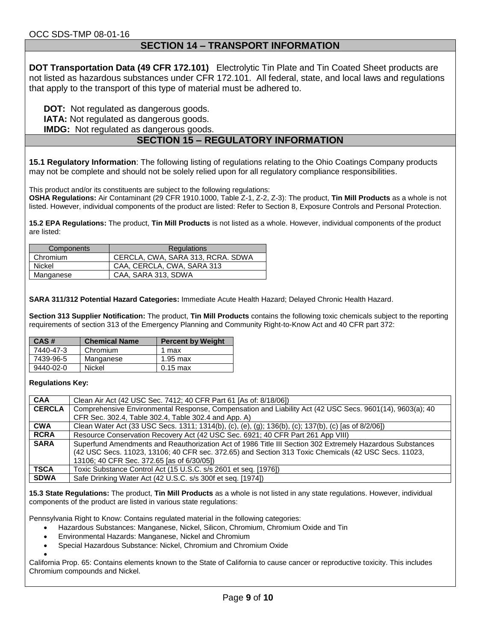#### **SECTION 14 – TRANSPORT INFORMATION**

**DOT Transportation Data (49 CFR 172.101)** Electrolytic Tin Plate and Tin Coated Sheet products are not listed as hazardous substances under CFR 172.101. All federal, state, and local laws and regulations that apply to the transport of this type of material must be adhered to.

**DOT:** Not regulated as dangerous goods.

**IATA:** Not regulated as dangerous goods.

**IMDG:** Not regulated as dangerous goods.

## **SECTION 15 – REGULATORY INFORMATION**

**15.1 Regulatory Information**: The following listing of regulations relating to the Ohio Coatings Company products may not be complete and should not be solely relied upon for all regulatory compliance responsibilities.

This product and/or its constituents are subject to the following regulations:

**OSHA Regulations:** Air Contaminant (29 CFR 1910.1000, Table Z-1, Z-2, Z-3): The product, **Tin Mill Products** as a whole is not listed. However, individual components of the product are listed: Refer to Section 8, Exposure Controls and Personal Protection.

**15.2 EPA Regulations:** The product, **Tin Mill Products** is not listed as a whole. However, individual components of the product are listed:

| Components | Regulations                       |  |
|------------|-----------------------------------|--|
| Chromium   | CERCLA, CWA, SARA 313, RCRA. SDWA |  |
| Nickel     | CAA, CERCLA, CWA, SARA 313        |  |
| Manganese  | CAA, SARA 313, SDWA               |  |

**SARA 311/312 Potential Hazard Categories:** Immediate Acute Health Hazard; Delayed Chronic Health Hazard.

**Section 313 Supplier Notification:** The product, **Tin Mill Products** contains the following toxic chemicals subject to the reporting requirements of section 313 of the Emergency Planning and Community Right-to-Know Act and 40 CFR part 372:

| CAS#      | <b>Chemical Name</b> | <b>Percent by Weight</b> |
|-----------|----------------------|--------------------------|
| 7440-47-3 | Chromium             | 1 max                    |
| 7439-96-5 | Manganese            | 1.95 max                 |
| 9440-02-0 | Nickel               | $0.15 \text{ max}$       |

#### **Regulations Key:**

| <b>CAA</b>    | Clean Air Act (42 USC Sec. 7412; 40 CFR Part 61 [As of: 8/18/06])                                         |
|---------------|-----------------------------------------------------------------------------------------------------------|
| <b>CERCLA</b> | Comprehensive Environmental Response, Compensation and Liability Act (42 USC Secs. 9601(14), 9603(a); 40  |
|               | CFR Sec. 302.4, Table 302.4, Table 302.4 and App. A)                                                      |
| <b>CWA</b>    | Clean Water Act (33 USC Secs. 1311; 1314(b), (c), (e), (g); 136(b), (c); 137(b), (c) [as of 8/2/06])      |
| <b>RCRA</b>   | Resource Conservation Recovery Act (42 USC Sec. 6921; 40 CFR Part 261 App VIII)                           |
| <b>SARA</b>   | Superfund Amendments and Reauthorization Act of 1986 Title III Section 302 Extremely Hazardous Substances |
|               | (42 USC Secs. 11023, 13106; 40 CFR sec. 372.65) and Section 313 Toxic Chemicals (42 USC Secs. 11023,      |
|               | 13106; 40 CFR Sec. 372.65 [as of 6/30/05])                                                                |
| <b>TSCA</b>   | Toxic Substance Control Act (15 U.S.C. s/s 2601 et seq. [1976])                                           |
| <b>SDWA</b>   | Safe Drinking Water Act (42 U.S.C. s/s 300f et seq. [1974])                                               |

**15.3 State Regulations:** The product, **Tin Mill Products** as a whole is not listed in any state regulations. However, individual components of the product are listed in various state regulations:

Pennsylvania Right to Know: Contains regulated material in the following categories:

- Hazardous Substances: Manganese, Nickel, Silicon, Chromium, Chromium Oxide and Tin
- Environmental Hazards: Manganese, Nickel and Chromium
- Special Hazardous Substance: Nickel, Chromium and Chromium Oxide

 $\bullet$ California Prop. 65: Contains elements known to the State of California to cause cancer or reproductive toxicity. This includes Chromium compounds and Nickel.